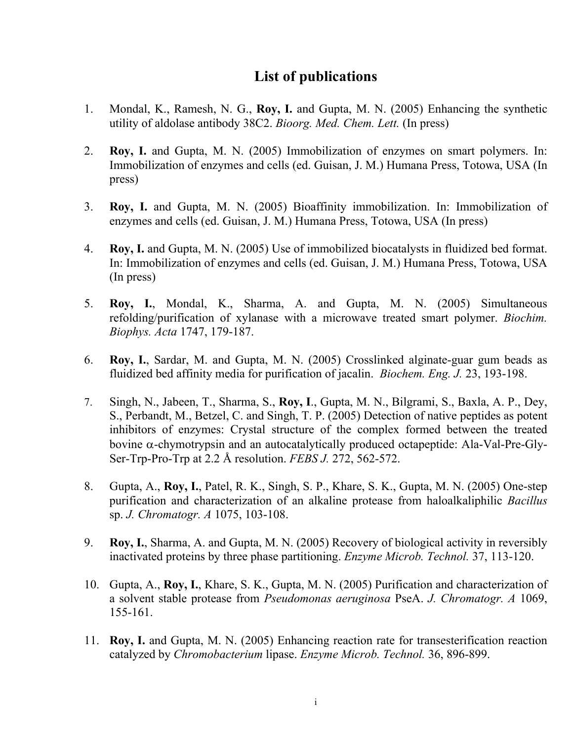## **List of publications**

- 1. Mondal, K., Ramesh, N. G., **Roy, I.** and Gupta, M. N. (2005) Enhancing the synthetic utility of aldolase antibody 38C2. *Bioorg. Med. Chem. Lett.* (In press)
- 2. **Roy, I.** and Gupta, M. N. (2005) Immobilization of enzymes on smart polymers. In: Immobilization of enzymes and cells (ed. Guisan, J. M.) Humana Press, Totowa, USA (In press)
- 3. **Roy, I.** and Gupta, M. N. (2005) Bioaffinity immobilization. In: Immobilization of enzymes and cells (ed. Guisan, J. M.) Humana Press, Totowa, USA (In press)
- 4. **Roy, I.** and Gupta, M. N. (2005) Use of immobilized biocatalysts in fluidized bed format. In: Immobilization of enzymes and cells (ed. Guisan, J. M.) Humana Press, Totowa, USA (In press)
- 5. **Roy, I.**, Mondal, K., Sharma, A. and Gupta, M. N. (2005) Simultaneous refolding/purification of xylanase with a microwave treated smart polymer. *Biochim. Biophys. Acta* 1747, 179-187.
- 6. **Roy, I.**, Sardar, M. and Gupta, M. N. (2005) Crosslinked alginate-guar gum beads as fluidized bed affinity media for purification of jacalin. *Biochem. Eng. J.* 23, 193-198.
- 7. Singh, N., Jabeen, T., Sharma, S., **Roy, I**., Gupta, M. N., Bilgrami, S., Baxla, A. P., Dey, S., Perbandt, M., Betzel, C. and Singh, T. P. (2005) Detection of native peptides as potent inhibitors of enzymes: Crystal structure of the complex formed between the treated bovine α-chymotrypsin and an autocatalytically produced octapeptide: Ala-Val-Pre-Gly-Ser-Trp-Pro-Trp at 2.2 Å resolution. *FEBS J.* 272, 562-572.
- 8. Gupta, A., **Roy, I.**, Patel, R. K., Singh, S. P., Khare, S. K., Gupta, M. N. (2005) One-step purification and characterization of an alkaline protease from haloalkaliphilic *Bacillus* sp. *J. Chromatogr. A* 1075, 103-108.
- 9. **Roy, I.**, Sharma, A. and Gupta, M. N. (2005) Recovery of biological activity in reversibly inactivated proteins by three phase partitioning. *Enzyme Microb. Technol.* 37, 113-120.
- 10. Gupta, A., **Roy, I.**, Khare, S. K., Gupta, M. N. (2005) Purification and characterization of a solvent stable protease from *Pseudomonas aeruginosa* PseA. *J. Chromatogr. A* 1069, 155-161.
- 11. **Roy, I.** and Gupta, M. N. (2005) Enhancing reaction rate for transesterification reaction catalyzed by *Chromobacterium* lipase. *Enzyme Microb. Technol.* 36, 896-899.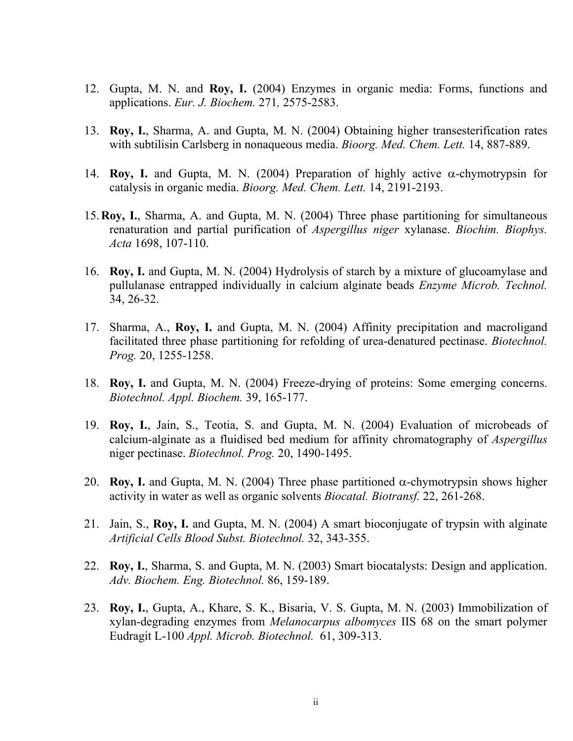- 12. Gupta, M. N. and **Roy, I.** (2004) Enzymes in organic media: Forms, functions and applications. *Eur. J. Biochem.* 271*,* 2575-2583.
- 13. **Roy, I.**, Sharma, A. and Gupta, M. N. (2004) Obtaining higher transesterification rates with subtilisin Carlsberg in nonaqueous media. *Bioorg. Med. Chem. Lett.* 14, 887-889.
- 14. **Roy, I.** and Gupta, M. N. (2004) Preparation of highly active α-chymotrypsin for catalysis in organic media. *Bioorg. Med. Chem. Lett.* 14, 2191-2193.
- 15.**Roy, I.**, Sharma, A. and Gupta, M. N. (2004) Three phase partitioning for simultaneous renaturation and partial purification of *Aspergillus niger* xylanase. *Biochim. Biophys. Acta* 1698, 107-110.
- 16. **Roy, I.** and Gupta, M. N. (2004) Hydrolysis of starch by a mixture of glucoamylase and pullulanase entrapped individually in calcium alginate beads *Enzyme Microb. Technol.* 34, 26-32.
- 17. Sharma, A., **Roy, I.** and Gupta, M. N. (2004) Affinity precipitation and macroligand facilitated three phase partitioning for refolding of urea-denatured pectinase. *Biotechnol. Prog.* 20, 1255-1258.
- 18. **Roy, I.** and Gupta, M. N. (2004) Freeze-drying of proteins: Some emerging concerns. *Biotechnol. Appl. Biochem.* 39, 165-177.
- 19. **Roy, I.**, Jain, S., Teotia, S. and Gupta, M. N. (2004) Evaluation of microbeads of calcium-alginate as a fluidised bed medium for affinity chromatography of *Aspergillus*  niger pectinase. *Biotechnol. Prog.* 20, 1490-1495.
- 20. **Roy, I.** and Gupta, M. N. (2004) Three phase partitioned  $\alpha$ -chymotrypsin shows higher activity in water as well as organic solvents *Biocatal. Biotransf.* 22, 261-268.
- 21. Jain, S., **Roy, I.** and Gupta, M. N. (2004) A smart bioconjugate of trypsin with alginate *Artificial Cells Blood Subst. Biotechnol.* 32, 343-355.
- 22. **Roy, I.**, Sharma, S. and Gupta, M. N. (2003) Smart biocatalysts: Design and application. *Adv. Biochem. Eng. Biotechnol.* 86, 159-189.
- 23. **Roy, I.**, Gupta, A., Khare, S. K., Bisaria, V. S. Gupta, M. N. (2003) Immobilization of xylan-degrading enzymes from *Melanocarpus albomyces* IIS 68 on the smart polymer Eudragit L-100 *Appl. Microb. Biotechnol.* 61, 309-313.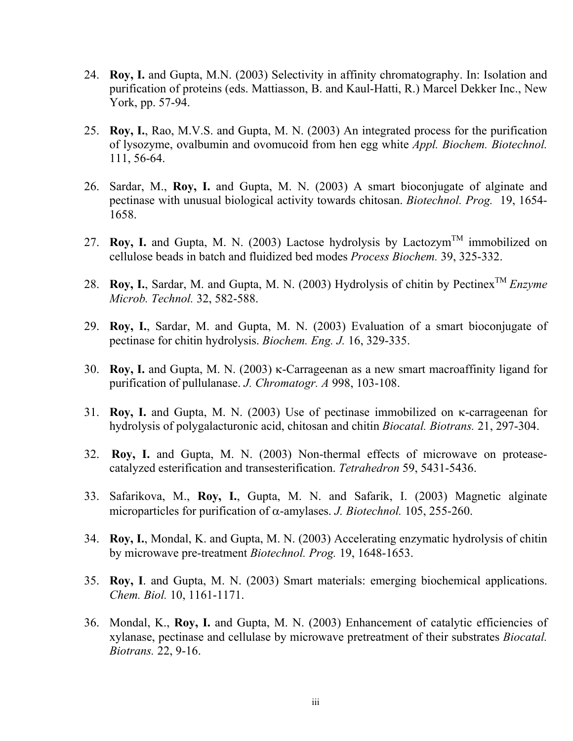- 24. **Roy, I.** and Gupta, M.N. (2003) Selectivity in affinity chromatography. In: Isolation and purification of proteins (eds. Mattiasson, B. and Kaul-Hatti, R.) Marcel Dekker Inc., New York, pp. 57-94.
- 25. **Roy, I.**, Rao, M.V.S. and Gupta, M. N. (2003) An integrated process for the purification of lysozyme, ovalbumin and ovomucoid from hen egg white *Appl. Biochem. Biotechnol.*  111, 56-64.
- 26. Sardar, M., **Roy, I.** and Gupta, M. N. (2003) A smart bioconjugate of alginate and pectinase with unusual biological activity towards chitosan. *Biotechnol. Prog.* 19, 1654- 1658.
- 27. **Roy, I.** and Gupta, M. N. (2003) Lactose hydrolysis by Lactozym<sup>TM</sup> immobilized on cellulose beads in batch and fluidized bed modes *Process Biochem.* 39, 325-332.
- 28. **Roy, I.**, Sardar, M. and Gupta, M. N. (2003) Hydrolysis of chitin by Pectinex<sup>TM</sup> *Enzyme Microb. Technol.* 32, 582-588.
- 29. **Roy, I.**, Sardar, M. and Gupta, M. N. (2003) Evaluation of a smart bioconjugate of pectinase for chitin hydrolysis. *Biochem. Eng. J.* 16, 329-335.
- 30. **Roy, I.** and Gupta, M. N. (2003) κ-Carrageenan as a new smart macroaffinity ligand for purification of pullulanase. *J. Chromatogr. A* 998, 103-108.
- 31. **Roy, I.** and Gupta, M. N. (2003) Use of pectinase immobilized on κ-carrageenan for hydrolysis of polygalacturonic acid, chitosan and chitin *Biocatal. Biotrans.* 21, 297-304.
- 32. **Roy, I.** and Gupta, M. N. (2003) Non-thermal effects of microwave on proteasecatalyzed esterification and transesterification. *Tetrahedron* 59, 5431-5436.
- 33. Safarikova, M., **Roy, I.**, Gupta, M. N. and Safarik, I. (2003) Magnetic alginate microparticles for purification of α-amylases. *J. Biotechnol.* 105, 255-260.
- 34. **Roy, I.**, Mondal, K. and Gupta, M. N. (2003) Accelerating enzymatic hydrolysis of chitin by microwave pre-treatment *Biotechnol. Prog.* 19, 1648-1653.
- 35. **Roy, I**. and Gupta, M. N. (2003) Smart materials: emerging biochemical applications. *Chem. Biol.* 10, 1161-1171.
- 36. Mondal, K., **Roy, I.** and Gupta, M. N. (2003) Enhancement of catalytic efficiencies of xylanase, pectinase and cellulase by microwave pretreatment of their substrates *Biocatal. Biotrans.* 22, 9-16.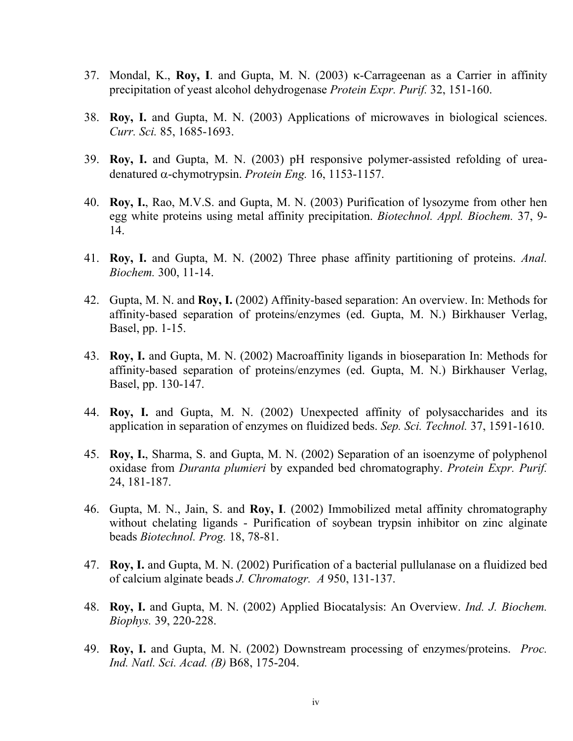- 37. Mondal, K., **Roy, I**. and Gupta, M. N. (2003) κ-Carrageenan as a Carrier in affinity precipitation of yeast alcohol dehydrogenase *Protein Expr. Purif.* 32, 151-160.
- 38. **Roy, I.** and Gupta, M. N. (2003) Applications of microwaves in biological sciences. *Curr. Sci.* 85, 1685-1693.
- 39. **Roy, I.** and Gupta, M. N. (2003) pH responsive polymer-assisted refolding of ureadenatured α-chymotrypsin. *Protein Eng.* 16, 1153-1157.
- 40. **Roy, I.**, Rao, M.V.S. and Gupta, M. N. (2003) Purification of lysozyme from other hen egg white proteins using metal affinity precipitation. *Biotechnol. Appl. Biochem.* 37, 9- 14.
- 41. **Roy, I.** and Gupta, M. N. (2002) Three phase affinity partitioning of proteins. *Anal. Biochem.* 300, 11-14.
- 42. Gupta, M. N. and **Roy, I.** (2002) Affinity-based separation: An overview. In: Methods for affinity-based separation of proteins/enzymes (ed. Gupta, M. N.) Birkhauser Verlag, Basel, pp. 1-15.
- 43. **Roy, I.** and Gupta, M. N. (2002) Macroaffinity ligands in bioseparation In: Methods for affinity-based separation of proteins/enzymes (ed. Gupta, M. N.) Birkhauser Verlag, Basel, pp. 130-147.
- 44. **Roy, I.** and Gupta, M. N. (2002) Unexpected affinity of polysaccharides and its application in separation of enzymes on fluidized beds. *Sep. Sci. Technol.* 37, 1591-1610.
- 45. **Roy, I.**, Sharma, S. and Gupta, M. N. (2002) Separation of an isoenzyme of polyphenol oxidase from *Duranta plumieri* by expanded bed chromatography. *Protein Expr. Purif.*  24, 181-187.
- 46. Gupta, M. N., Jain, S. and **Roy, I**. (2002) Immobilized metal affinity chromatography without chelating ligands - Purification of soybean trypsin inhibitor on zinc alginate beads *Biotechnol. Prog.* 18, 78-81.
- 47. **Roy, I.** and Gupta, M. N. (2002) Purification of a bacterial pullulanase on a fluidized bed of calcium alginate beads *J. Chromatogr. A* 950, 131-137.
- 48. **Roy, I.** and Gupta, M. N. (2002) Applied Biocatalysis: An Overview. *Ind. J. Biochem. Biophys.* 39, 220-228.
- 49. **Roy, I.** and Gupta, M. N. (2002) Downstream processing of enzymes/proteins. *Proc. Ind. Natl. Sci. Acad. (B)* B68, 175-204.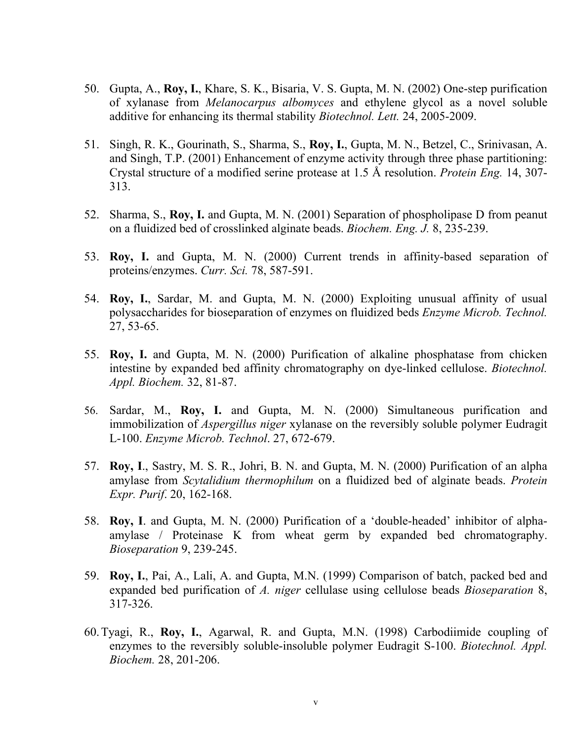- 50. Gupta, A., **Roy, I.**, Khare, S. K., Bisaria, V. S. Gupta, M. N. (2002) One-step purification of xylanase from *Melanocarpus albomyces* and ethylene glycol as a novel soluble additive for enhancing its thermal stability *Biotechnol. Lett.* 24, 2005-2009.
- 51. Singh, R. K., Gourinath, S., Sharma, S., **Roy, I.**, Gupta, M. N., Betzel, C., Srinivasan, A. and Singh, T.P. (2001) Enhancement of enzyme activity through three phase partitioning: Crystal structure of a modified serine protease at 1.5 Å resolution. *Protein Eng.* 14, 307- 313.
- 52. Sharma, S., **Roy, I.** and Gupta, M. N. (2001) Separation of phospholipase D from peanut on a fluidized bed of crosslinked alginate beads. *Biochem. Eng. J.* 8, 235-239.
- 53. **Roy, I.** and Gupta, M. N. (2000) Current trends in affinity-based separation of proteins/enzymes. *Curr. Sci.* 78, 587-591.
- 54. **Roy, I.**, Sardar, M. and Gupta, M. N. (2000) Exploiting unusual affinity of usual polysaccharides for bioseparation of enzymes on fluidized beds *Enzyme Microb. Technol.* 27, 53-65.
- 55. **Roy, I.** and Gupta, M. N. (2000) Purification of alkaline phosphatase from chicken intestine by expanded bed affinity chromatography on dye-linked cellulose. *Biotechnol. Appl. Biochem.* 32, 81-87.
- 56. Sardar, M., **Roy, I.** and Gupta, M. N. (2000) Simultaneous purification and immobilization of *Aspergillus niger* xylanase on the reversibly soluble polymer Eudragit L-100. *Enzyme Microb. Technol*. 27, 672-679.
- 57. **Roy, I**., Sastry, M. S. R., Johri, B. N. and Gupta, M. N. (2000) Purification of an alpha amylase from *Scytalidium thermophilum* on a fluidized bed of alginate beads. *Protein Expr. Purif*. 20, 162-168.
- 58. **Roy, I**. and Gupta, M. N. (2000) Purification of a 'double-headed' inhibitor of alphaamylase / Proteinase K from wheat germ by expanded bed chromatography. *Bioseparation* 9, 239-245.
- 59. **Roy, I.**, Pai, A., Lali, A. and Gupta, M.N. (1999) Comparison of batch, packed bed and expanded bed purification of *A. niger* cellulase using cellulose beads *Bioseparation* 8, 317-326.
- 60.Tyagi, R., **Roy, I.**, Agarwal, R. and Gupta, M.N. (1998) Carbodiimide coupling of enzymes to the reversibly soluble-insoluble polymer Eudragit S-100. *Biotechnol. Appl. Biochem.* 28, 201-206.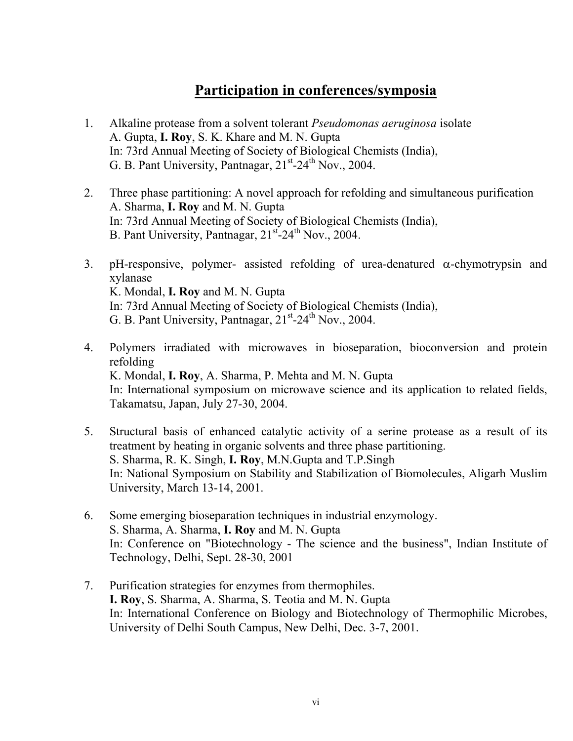## **Participation in conferences/symposia**

- 1. Alkaline protease from a solvent tolerant *Pseudomonas aeruginosa* isolate A. Gupta, **I. Roy**, S. K. Khare and M. N. Gupta In: 73rd Annual Meeting of Society of Biological Chemists (India), G. B. Pant University, Pantnagar,  $21<sup>st</sup> - 24<sup>th</sup>$  Nov., 2004.
- 2. Three phase partitioning: A novel approach for refolding and simultaneous purification A. Sharma, **I. Roy** and M. N. Gupta In: 73rd Annual Meeting of Society of Biological Chemists (India), B. Pant University, Pantnagar,  $21<sup>st</sup>-24<sup>th</sup>$  Nov., 2004.
- 3. pH-responsive, polymer- assisted refolding of urea-denatured  $\alpha$ -chymotrypsin and xylanase K. Mondal, **I. Roy** and M. N. Gupta In: 73rd Annual Meeting of Society of Biological Chemists (India), G. B. Pant University, Pantnagar,  $21<sup>st</sup> - 24<sup>th</sup>$  Nov., 2004.
- 4. Polymers irradiated with microwaves in bioseparation, bioconversion and protein refolding K. Mondal, **I. Roy**, A. Sharma, P. Mehta and M. N. Gupta In: International symposium on microwave science and its application to related fields, Takamatsu, Japan, July 27-30, 2004.
- 5. Structural basis of enhanced catalytic activity of a serine protease as a result of its treatment by heating in organic solvents and three phase partitioning. S. Sharma, R. K. Singh, **I. Roy**, M.N.Gupta and T.P.Singh In: National Symposium on Stability and Stabilization of Biomolecules, Aligarh Muslim University, March 13-14, 2001.
- 6. Some emerging bioseparation techniques in industrial enzymology. S. Sharma, A. Sharma, **I. Roy** and M. N. Gupta In: Conference on "Biotechnology - The science and the business", Indian Institute of Technology, Delhi, Sept. 28-30, 2001
- 7. Purification strategies for enzymes from thermophiles.  **I. Roy**, S. Sharma, A. Sharma, S. Teotia and M. N. Gupta In: International Conference on Biology and Biotechnology of Thermophilic Microbes, University of Delhi South Campus, New Delhi, Dec. 3-7, 2001.